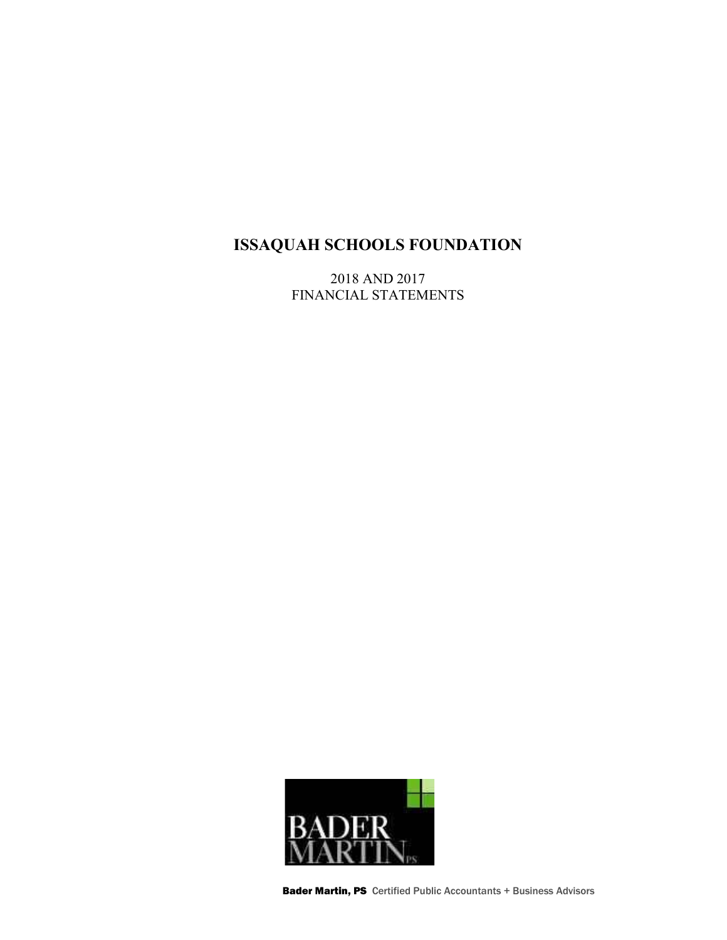2018 AND 2017 FINANCIAL STATEMENTS



Bader Martin, PS Certified Public Accountants + Business Advisors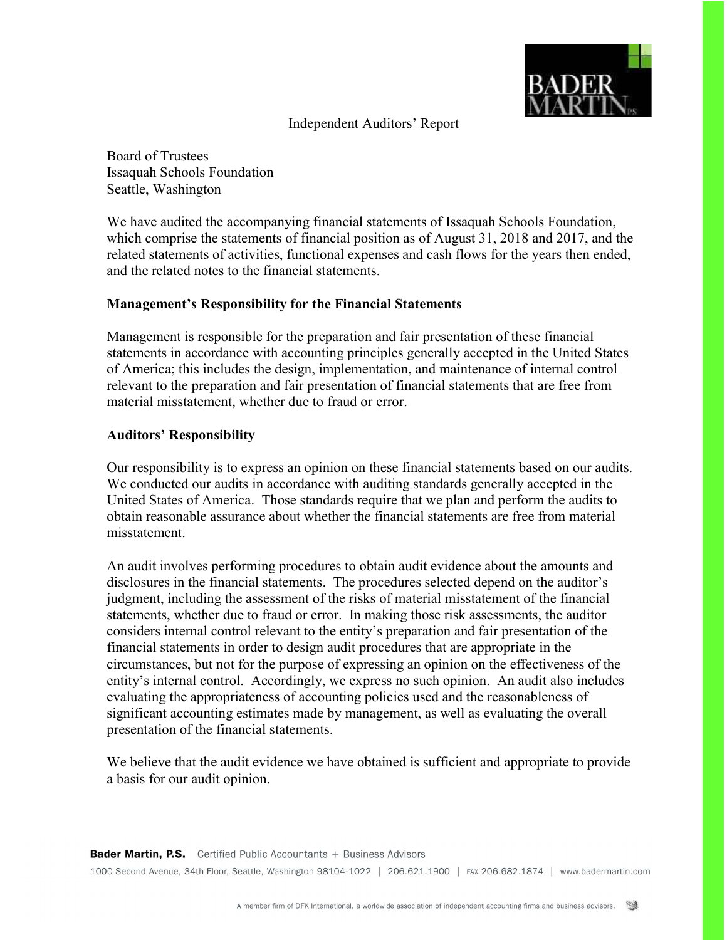

### Independent Auditors' Report

Board of Trustees Issaquah Schools Foundation Seattle, Washington

We have audited the accompanying financial statements of Issaquah Schools Foundation, which comprise the statements of financial position as of August 31, 2018 and 2017, and the related statements of activities, functional expenses and cash flows for the years then ended, and the related notes to the financial statements.

### Management's Responsibility for the Financial Statements

Management is responsible for the preparation and fair presentation of these financial statements in accordance with accounting principles generally accepted in the United States of America; this includes the design, implementation, and maintenance of internal control relevant to the preparation and fair presentation of financial statements that are free from material misstatement, whether due to fraud or error.

### Auditors' Responsibility

Our responsibility is to express an opinion on these financial statements based on our audits. We conducted our audits in accordance with auditing standards generally accepted in the United States of America. Those standards require that we plan and perform the audits to obtain reasonable assurance about whether the financial statements are free from material misstatement.

An audit involves performing procedures to obtain audit evidence about the amounts and disclosures in the financial statements. The procedures selected depend on the auditor's judgment, including the assessment of the risks of material misstatement of the financial statements, whether due to fraud or error. In making those risk assessments, the auditor considers internal control relevant to the entity's preparation and fair presentation of the financial statements in order to design audit procedures that are appropriate in the circumstances, but not for the purpose of expressing an opinion on the effectiveness of the entity's internal control. Accordingly, we express no such opinion. An audit also includes evaluating the appropriateness of accounting policies used and the reasonableness of significant accounting estimates made by management, as well as evaluating the overall presentation of the financial statements.

We believe that the audit evidence we have obtained is sufficient and appropriate to provide a basis for our audit opinion.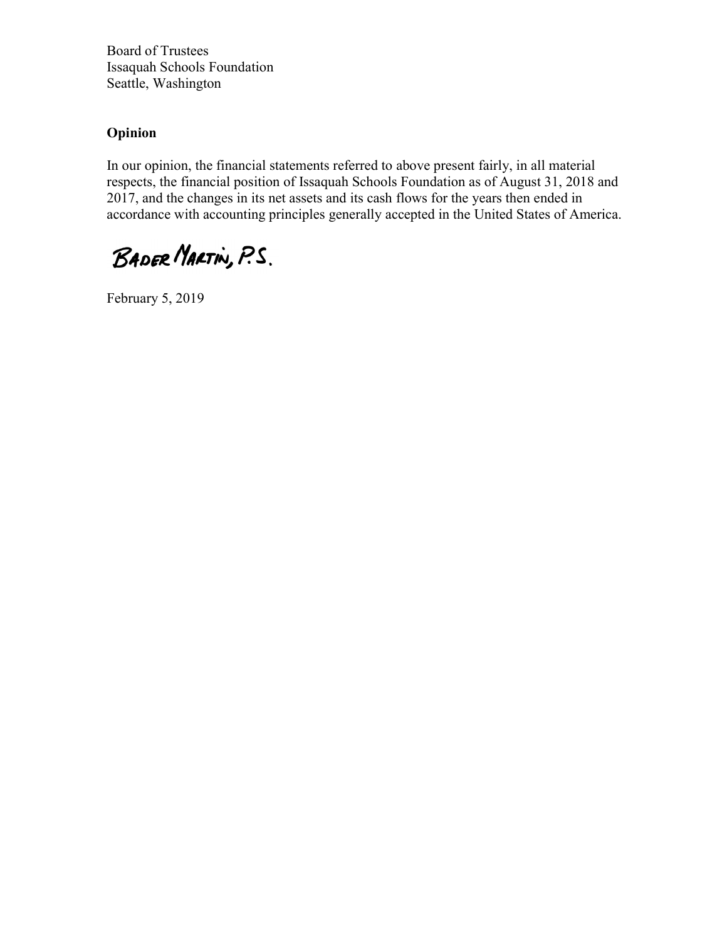Board of Trustees Issaquah Schools Foundation Seattle, Washington

## Opinion

In our opinion, the financial statements referred to above present fairly, in all material respects, the financial position of Issaquah Schools Foundation as of August 31, 2018 and 2017, and the changes in its net assets and its cash flows for the years then ended in accordance with accounting principles generally accepted in the United States of America.

BADER MARTIN, P.S.

February 5, 2019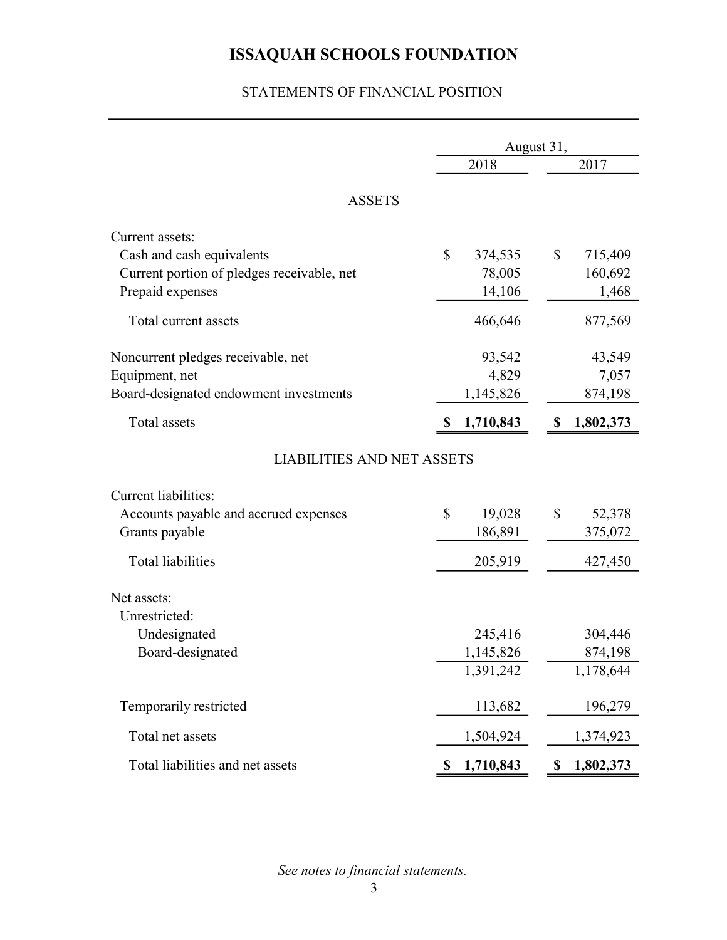## STATEMENTS OF FINANCIAL POSITION

|                                            | August 31,      |    |           |
|--------------------------------------------|-----------------|----|-----------|
|                                            | 2018            |    | 2017      |
| <b>ASSETS</b>                              |                 |    |           |
| Current assets:                            |                 |    |           |
| Cash and cash equivalents                  | \$<br>374,535   | \$ | 715,409   |
| Current portion of pledges receivable, net | 78,005          |    | 160,692   |
| Prepaid expenses                           | 14,106          |    | 1,468     |
| Total current assets                       | 466,646         |    | 877,569   |
| Noncurrent pledges receivable, net         | 93,542          |    | 43,549    |
| Equipment, net                             | 4,829           |    | 7,057     |
| Board-designated endowment investments     | 1,145,826       |    | 874,198   |
| Total assets                               | 1,710,843       |    | 1,802,373 |
| <b>LIABILITIES AND NET ASSETS</b>          |                 |    |           |
| <b>Current liabilities:</b>                |                 |    |           |
| Accounts payable and accrued expenses      | \$<br>19,028    | \$ | 52,378    |
| Grants payable                             | 186,891         |    | 375,072   |
| <b>Total liabilities</b>                   | 205,919         |    | 427,450   |
| Net assets:                                |                 |    |           |
| Unrestricted:                              |                 |    |           |
| Undesignated                               | 245,416         |    | 304,446   |
| Board-designated                           | 1,145,826       |    | 874,198   |
|                                            | 1,391,242       |    | 1,178,644 |
| Temporarily restricted                     | 113,682         |    | 196,279   |
| Total net assets                           | 1,504,924       |    | 1,374,923 |
| Total liabilities and net assets           | \$<br>1,710,843 | S, | 1,802,373 |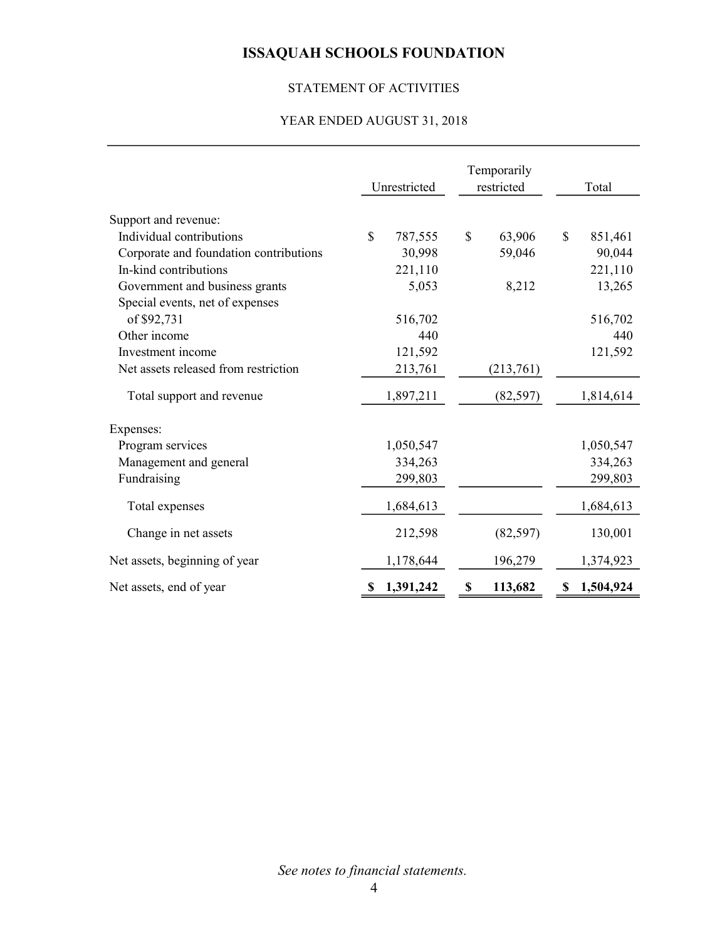# STATEMENT OF ACTIVITIES

### YEAR ENDED AUGUST 31, 2018

|                                        | Unrestricted            | Temporarily<br>restricted | Total          |
|----------------------------------------|-------------------------|---------------------------|----------------|
| Support and revenue:                   |                         |                           |                |
| Individual contributions               | $\mathbb{S}$<br>787,555 | \$<br>63,906              | \$<br>851,461  |
| Corporate and foundation contributions | 30,998                  | 59,046                    | 90,044         |
| In-kind contributions                  | 221,110                 |                           | 221,110        |
| Government and business grants         | 5,053                   | 8,212                     | 13,265         |
| Special events, net of expenses        |                         |                           |                |
| of \$92,731                            | 516,702                 |                           | 516,702        |
| Other income                           | 440                     |                           | 440            |
| Investment income                      | 121,592                 |                           | 121,592        |
| Net assets released from restriction   | 213,761                 | (213,761)                 |                |
| Total support and revenue              | 1,897,211               | (82, 597)                 | 1,814,614      |
| Expenses:                              |                         |                           |                |
| Program services                       | 1,050,547               |                           | 1,050,547      |
| Management and general                 | 334,263                 |                           | 334,263        |
| Fundraising                            | 299,803                 |                           | 299,803        |
| Total expenses                         | 1,684,613               |                           | 1,684,613      |
| Change in net assets                   | 212,598                 | (82, 597)                 | 130,001        |
| Net assets, beginning of year          | 1,178,644               | 196,279                   | 1,374,923      |
| Net assets, end of year                | 1,391,242<br>S          | 113,682<br>\$             | 1,504,924<br>S |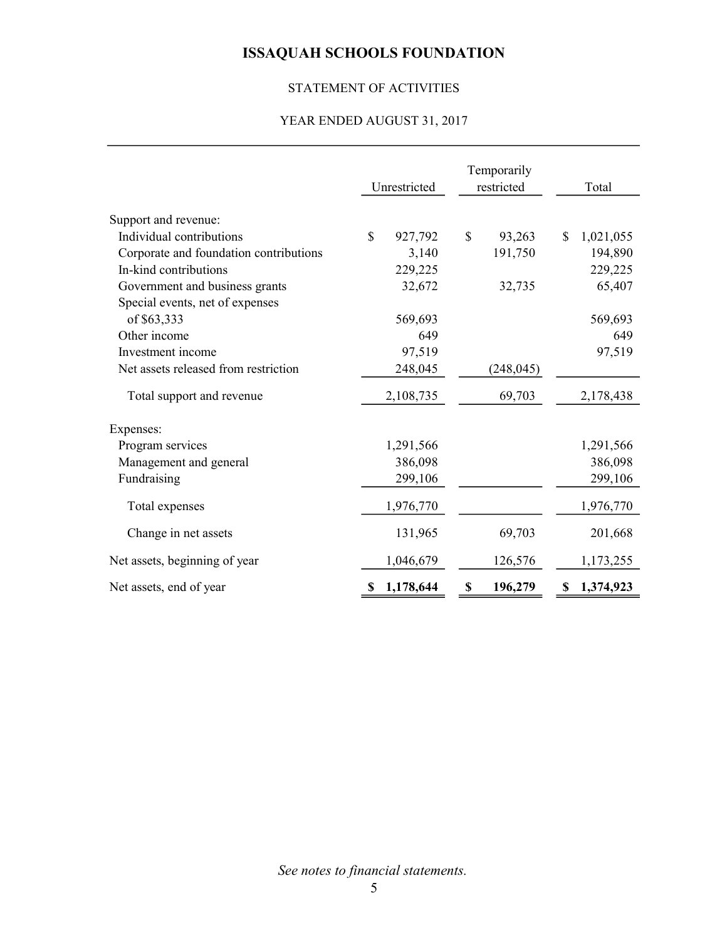## STATEMENT OF ACTIVITIES

### YEAR ENDED AUGUST 31, 2017

|                                        | Unrestricted           | Temporarily<br>restricted | Total           |
|----------------------------------------|------------------------|---------------------------|-----------------|
| Support and revenue:                   |                        |                           |                 |
| Individual contributions               | $\mathbf S$<br>927,792 | \$<br>93,263              | 1,021,055<br>\$ |
| Corporate and foundation contributions | 3,140                  | 191,750                   | 194,890         |
| In-kind contributions                  | 229,225                |                           | 229,225         |
| Government and business grants         | 32,672                 | 32,735                    | 65,407          |
| Special events, net of expenses        |                        |                           |                 |
| of \$63,333                            | 569,693                |                           | 569,693         |
| Other income                           | 649                    |                           | 649             |
| Investment income                      | 97,519                 |                           | 97,519          |
| Net assets released from restriction   | 248,045                | (248, 045)                |                 |
| Total support and revenue              | 2,108,735              | 69,703                    | 2,178,438       |
| Expenses:                              |                        |                           |                 |
| Program services                       | 1,291,566              |                           | 1,291,566       |
| Management and general                 | 386,098                |                           | 386,098         |
| Fundraising                            | 299,106                |                           | 299,106         |
| Total expenses                         | 1,976,770              |                           | 1,976,770       |
| Change in net assets                   | 131,965                | 69,703                    | 201,668         |
| Net assets, beginning of year          | 1,046,679              | 126,576                   | 1,173,255       |
| Net assets, end of year                | 1,178,644<br>S         | 196,279<br>\$             | 1,374,923<br>\$ |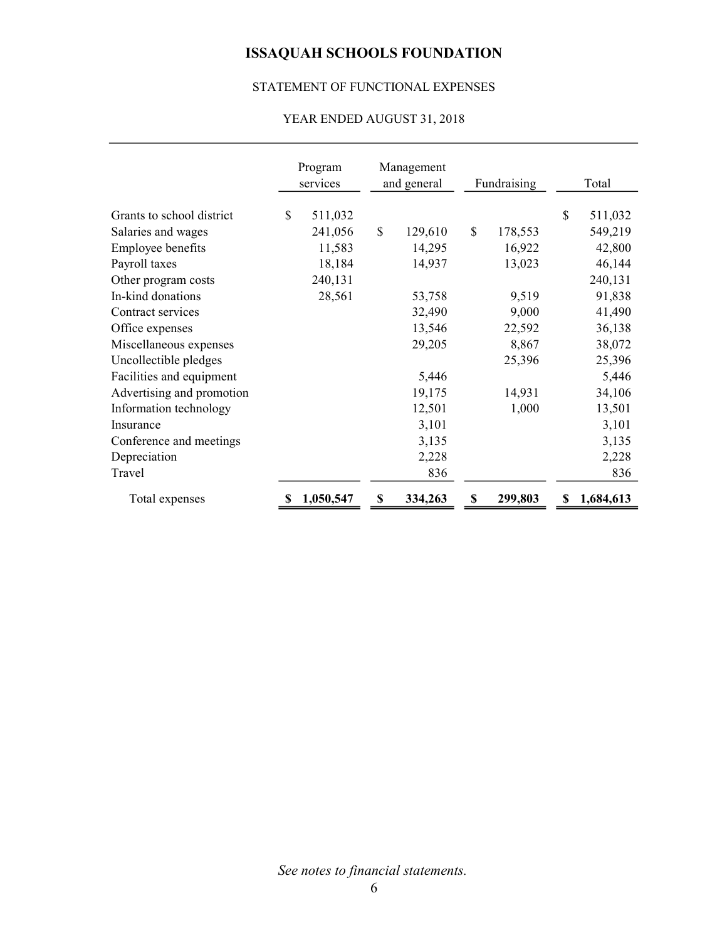## STATEMENT OF FUNCTIONAL EXPENSES

## YEAR ENDED AUGUST 31, 2018

|                           | Program<br>services | Management<br>and general |    | Fundraising | Total           |
|---------------------------|---------------------|---------------------------|----|-------------|-----------------|
| Grants to school district | \$<br>511,032       |                           |    |             | \$<br>511,032   |
| Salaries and wages        | 241,056             | \$<br>129,610             | \$ | 178,553     | 549,219         |
| Employee benefits         | 11,583              | 14,295                    |    | 16,922      | 42,800          |
| Payroll taxes             | 18,184              | 14,937                    |    | 13,023      | 46,144          |
| Other program costs       | 240,131             |                           |    |             | 240,131         |
| In-kind donations         | 28,561              | 53,758                    |    | 9,519       | 91,838          |
| Contract services         |                     | 32,490                    |    | 9,000       | 41,490          |
| Office expenses           |                     | 13,546                    |    | 22,592      | 36,138          |
| Miscellaneous expenses    |                     | 29,205                    |    | 8,867       | 38,072          |
| Uncollectible pledges     |                     |                           |    | 25,396      | 25,396          |
| Facilities and equipment  |                     | 5,446                     |    |             | 5,446           |
| Advertising and promotion |                     | 19,175                    |    | 14,931      | 34,106          |
| Information technology    |                     | 12,501                    |    | 1,000       | 13,501          |
| Insurance                 |                     | 3,101                     |    |             | 3,101           |
| Conference and meetings   |                     | 3,135                     |    |             | 3,135           |
| Depreciation              |                     | 2,228                     |    |             | 2,228           |
| Travel                    |                     | 836                       |    |             | 836             |
| Total expenses            | 1,050,547           | \$<br>334,263             | S  | 299,803     | \$<br>1,684,613 |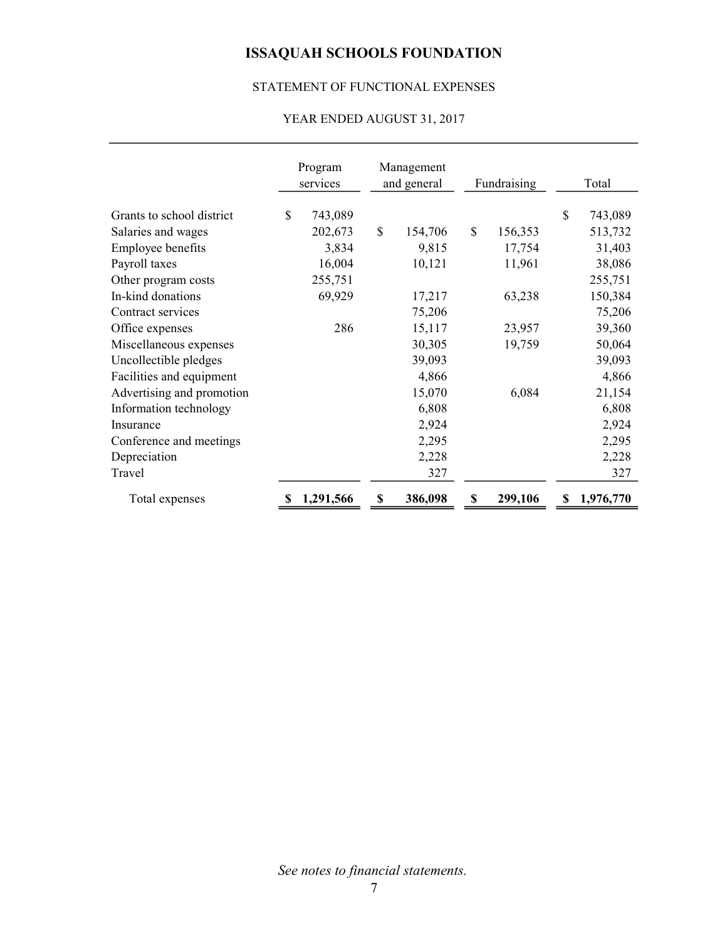## STATEMENT OF FUNCTIONAL EXPENSES

## YEAR ENDED AUGUST 31, 2017

|                           | Program<br>services | Management<br>and general | Fundraising   |    | Total     |
|---------------------------|---------------------|---------------------------|---------------|----|-----------|
| Grants to school district | \$<br>743,089       |                           |               | \$ | 743,089   |
| Salaries and wages        | 202,673             | \$<br>154,706             | \$<br>156,353 |    | 513,732   |
| Employee benefits         | 3,834               | 9,815                     | 17,754        |    | 31,403    |
| Payroll taxes             | 16,004              | 10,121                    | 11,961        |    | 38,086    |
| Other program costs       | 255,751             |                           |               |    | 255,751   |
| In-kind donations         | 69,929              | 17,217                    | 63,238        |    | 150,384   |
| Contract services         |                     | 75,206                    |               |    | 75,206    |
| Office expenses           | 286                 | 15,117                    | 23,957        |    | 39,360    |
| Miscellaneous expenses    |                     | 30,305                    | 19,759        |    | 50,064    |
| Uncollectible pledges     |                     | 39,093                    |               |    | 39,093    |
| Facilities and equipment  |                     | 4,866                     |               |    | 4,866     |
| Advertising and promotion |                     | 15,070                    | 6,084         |    | 21,154    |
| Information technology    |                     | 6,808                     |               |    | 6,808     |
| Insurance                 |                     | 2,924                     |               |    | 2,924     |
| Conference and meetings   |                     | 2,295                     |               |    | 2,295     |
| Depreciation              |                     | 2,228                     |               |    | 2,228     |
| Travel                    |                     | 327                       |               |    | 327       |
| Total expenses            | 1,291,566           | \$<br>386,098             | 299,106       | S  | 1,976,770 |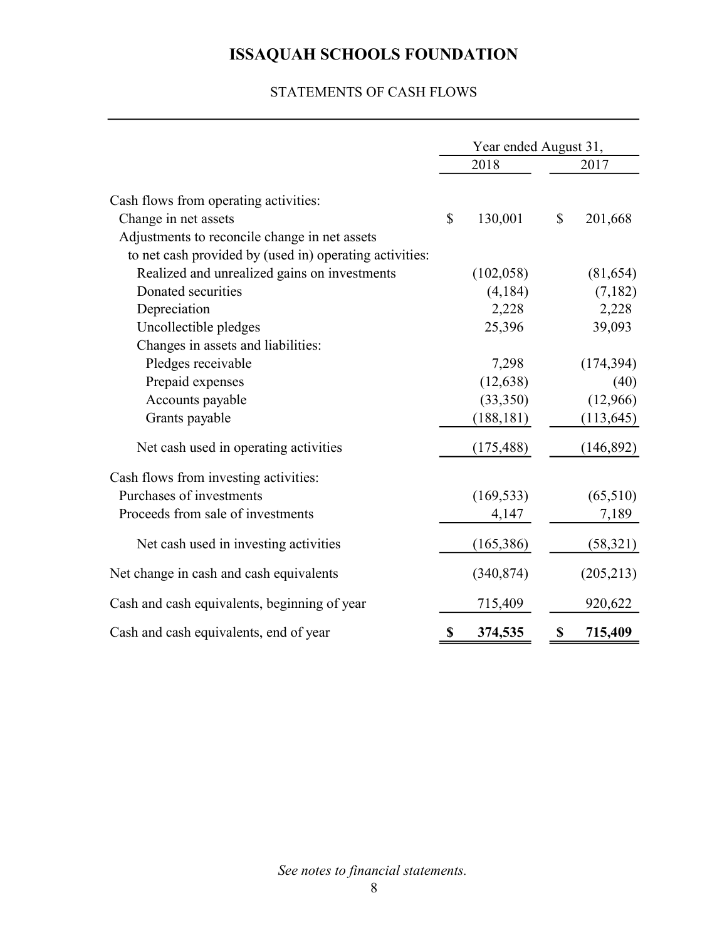## STATEMENTS OF CASH FLOWS

|                                                         | Year ended August 31, |               |
|---------------------------------------------------------|-----------------------|---------------|
|                                                         | 2018                  | 2017          |
|                                                         |                       |               |
| Cash flows from operating activities:                   |                       |               |
| Change in net assets                                    | \$<br>130,001         | \$<br>201,668 |
| Adjustments to reconcile change in net assets           |                       |               |
| to net cash provided by (used in) operating activities: |                       |               |
| Realized and unrealized gains on investments            | (102, 058)            | (81, 654)     |
| Donated securities                                      | (4, 184)              | (7,182)       |
| Depreciation                                            | 2,228                 | 2,228         |
| Uncollectible pledges                                   | 25,396                | 39,093        |
| Changes in assets and liabilities:                      |                       |               |
| Pledges receivable                                      | 7,298                 | (174, 394)    |
| Prepaid expenses                                        | (12, 638)             | (40)          |
| Accounts payable                                        | (33,350)              | (12,966)      |
| Grants payable                                          | (188, 181)            | (113, 645)    |
| Net cash used in operating activities                   | (175, 488)            | (146, 892)    |
| Cash flows from investing activities:                   |                       |               |
| Purchases of investments                                | (169, 533)            | (65,510)      |
| Proceeds from sale of investments                       | 4,147                 | 7,189         |
| Net cash used in investing activities                   | (165, 386)            | (58, 321)     |
| Net change in cash and cash equivalents                 | (340, 874)            | (205,213)     |
| Cash and cash equivalents, beginning of year            | 715,409               | 920,622       |
| Cash and cash equivalents, end of year                  | \$<br>374,535         | \$<br>715,409 |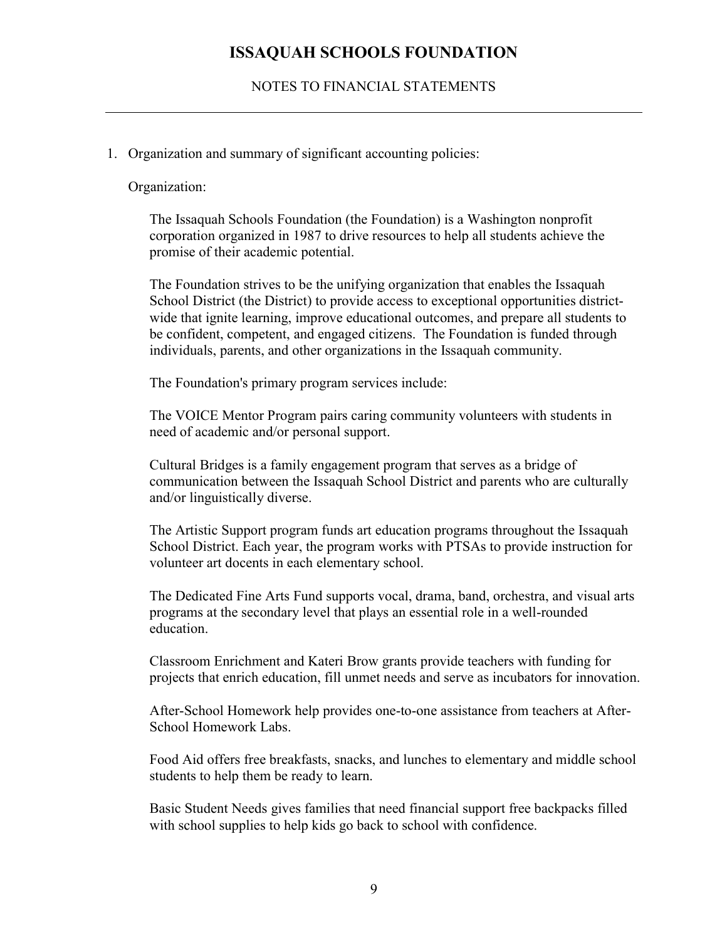### NOTES TO FINANCIAL STATEMENTS

### 1. Organization and summary of significant accounting policies:

#### Organization:

The Issaquah Schools Foundation (the Foundation) is a Washington nonprofit corporation organized in 1987 to drive resources to help all students achieve the promise of their academic potential.

The Foundation strives to be the unifying organization that enables the Issaquah School District (the District) to provide access to exceptional opportunities districtwide that ignite learning, improve educational outcomes, and prepare all students to be confident, competent, and engaged citizens. The Foundation is funded through individuals, parents, and other organizations in the Issaquah community.

The Foundation's primary program services include:

The VOICE Mentor Program pairs caring community volunteers with students in need of academic and/or personal support.

Cultural Bridges is a family engagement program that serves as a bridge of communication between the Issaquah School District and parents who are culturally and/or linguistically diverse.

The Artistic Support program funds art education programs throughout the Issaquah School District. Each year, the program works with PTSAs to provide instruction for volunteer art docents in each elementary school.

The Dedicated Fine Arts Fund supports vocal, drama, band, orchestra, and visual arts programs at the secondary level that plays an essential role in a well-rounded education.

Classroom Enrichment and Kateri Brow grants provide teachers with funding for projects that enrich education, fill unmet needs and serve as incubators for innovation.

After-School Homework help provides one-to-one assistance from teachers at After-School Homework Labs.

Food Aid offers free breakfasts, snacks, and lunches to elementary and middle school students to help them be ready to learn.

Basic Student Needs gives families that need financial support free backpacks filled with school supplies to help kids go back to school with confidence.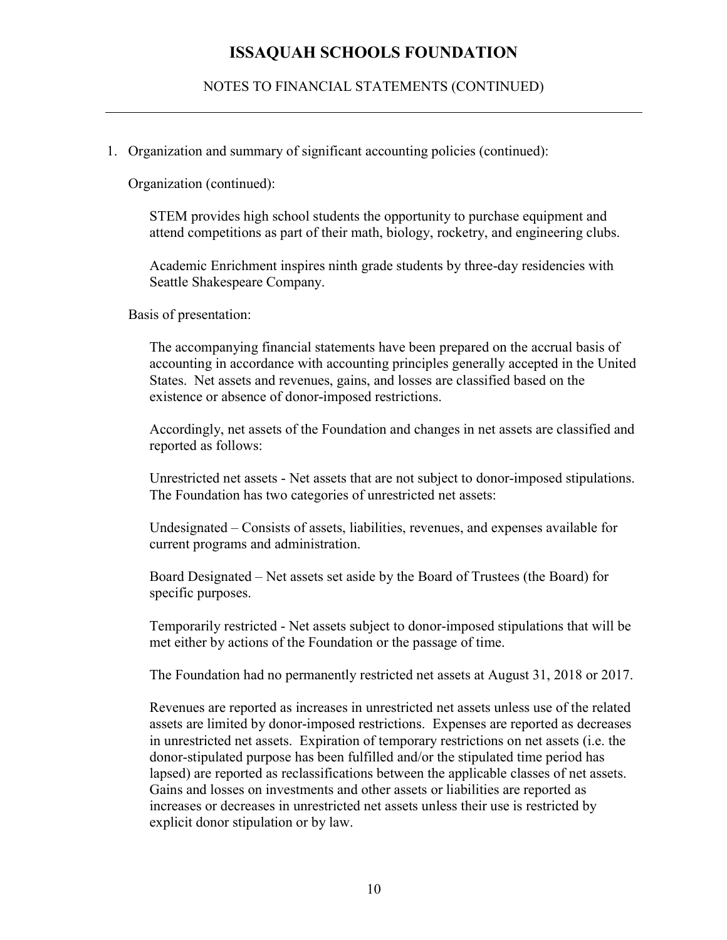NOTES TO FINANCIAL STATEMENTS (CONTINUED)

1. Organization and summary of significant accounting policies (continued):

Organization (continued):

STEM provides high school students the opportunity to purchase equipment and attend competitions as part of their math, biology, rocketry, and engineering clubs.

Academic Enrichment inspires ninth grade students by three-day residencies with Seattle Shakespeare Company.

Basis of presentation:

The accompanying financial statements have been prepared on the accrual basis of accounting in accordance with accounting principles generally accepted in the United States. Net assets and revenues, gains, and losses are classified based on the existence or absence of donor-imposed restrictions.

Accordingly, net assets of the Foundation and changes in net assets are classified and reported as follows:

Unrestricted net assets - Net assets that are not subject to donor-imposed stipulations. The Foundation has two categories of unrestricted net assets:

Undesignated – Consists of assets, liabilities, revenues, and expenses available for current programs and administration.

Board Designated – Net assets set aside by the Board of Trustees (the Board) for specific purposes.

Temporarily restricted - Net assets subject to donor-imposed stipulations that will be met either by actions of the Foundation or the passage of time.

The Foundation had no permanently restricted net assets at August 31, 2018 or 2017.

Revenues are reported as increases in unrestricted net assets unless use of the related assets are limited by donor-imposed restrictions. Expenses are reported as decreases in unrestricted net assets. Expiration of temporary restrictions on net assets (i.e. the donor-stipulated purpose has been fulfilled and/or the stipulated time period has lapsed) are reported as reclassifications between the applicable classes of net assets. Gains and losses on investments and other assets or liabilities are reported as increases or decreases in unrestricted net assets unless their use is restricted by explicit donor stipulation or by law.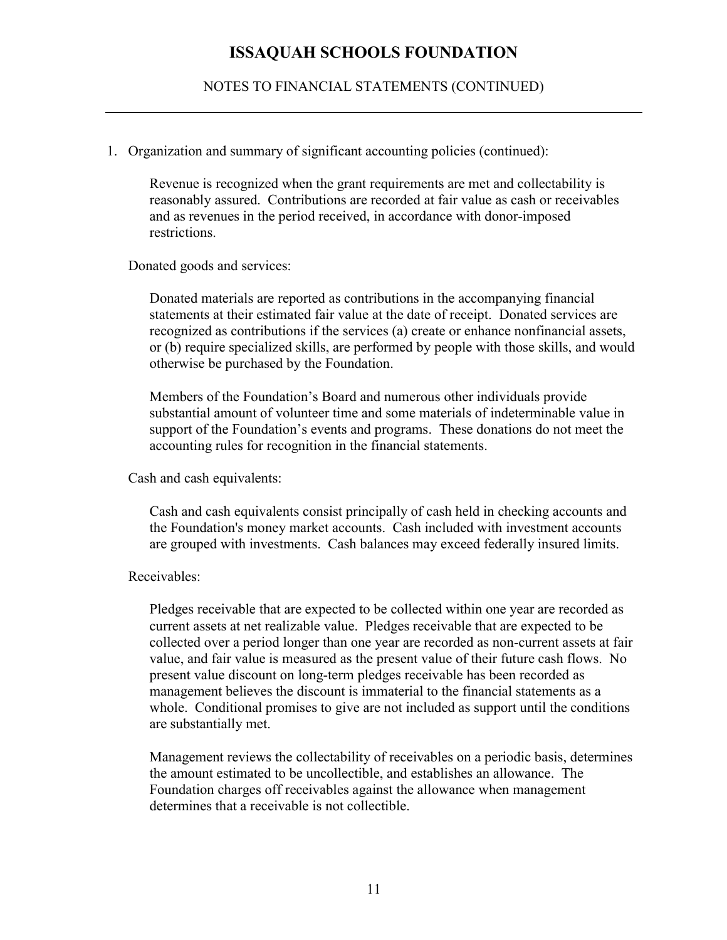NOTES TO FINANCIAL STATEMENTS (CONTINUED)

#### 1. Organization and summary of significant accounting policies (continued):

Revenue is recognized when the grant requirements are met and collectability is reasonably assured. Contributions are recorded at fair value as cash or receivables and as revenues in the period received, in accordance with donor-imposed restrictions.

Donated goods and services:

Donated materials are reported as contributions in the accompanying financial statements at their estimated fair value at the date of receipt. Donated services are recognized as contributions if the services (a) create or enhance nonfinancial assets, or (b) require specialized skills, are performed by people with those skills, and would otherwise be purchased by the Foundation.

Members of the Foundation's Board and numerous other individuals provide substantial amount of volunteer time and some materials of indeterminable value in support of the Foundation's events and programs. These donations do not meet the accounting rules for recognition in the financial statements.

Cash and cash equivalents:

Cash and cash equivalents consist principally of cash held in checking accounts and the Foundation's money market accounts. Cash included with investment accounts are grouped with investments. Cash balances may exceed federally insured limits.

#### Receivables:

Pledges receivable that are expected to be collected within one year are recorded as current assets at net realizable value. Pledges receivable that are expected to be collected over a period longer than one year are recorded as non-current assets at fair value, and fair value is measured as the present value of their future cash flows. No present value discount on long-term pledges receivable has been recorded as management believes the discount is immaterial to the financial statements as a whole. Conditional promises to give are not included as support until the conditions are substantially met.

Management reviews the collectability of receivables on a periodic basis, determines the amount estimated to be uncollectible, and establishes an allowance. The Foundation charges off receivables against the allowance when management determines that a receivable is not collectible.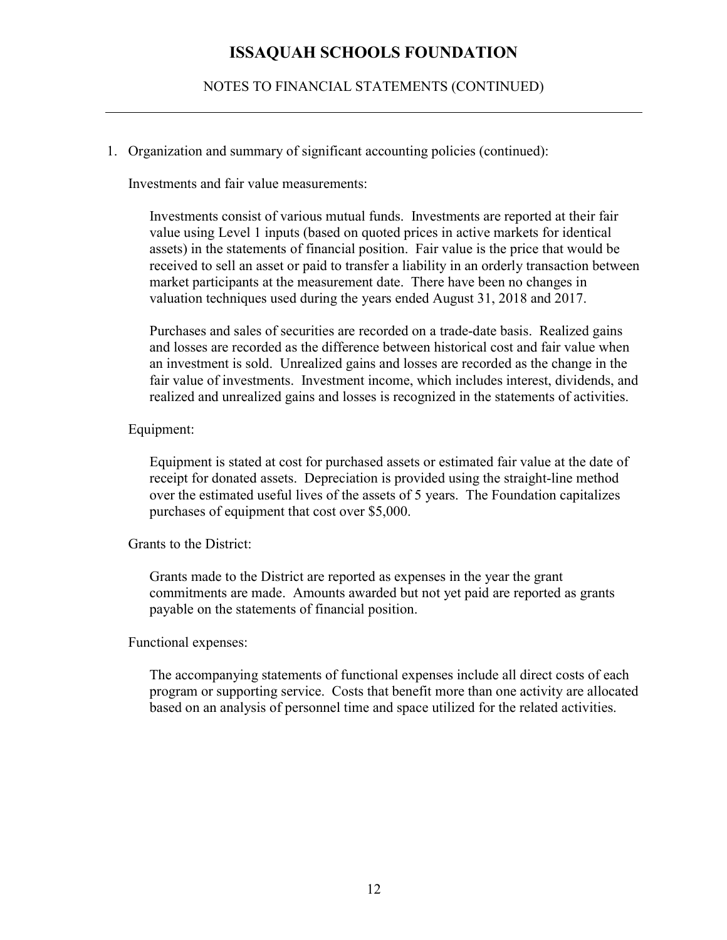NOTES TO FINANCIAL STATEMENTS (CONTINUED)

1. Organization and summary of significant accounting policies (continued):

Investments and fair value measurements:

Investments consist of various mutual funds. Investments are reported at their fair value using Level 1 inputs (based on quoted prices in active markets for identical assets) in the statements of financial position. Fair value is the price that would be received to sell an asset or paid to transfer a liability in an orderly transaction between market participants at the measurement date. There have been no changes in valuation techniques used during the years ended August 31, 2018 and 2017.

Purchases and sales of securities are recorded on a trade-date basis. Realized gains and losses are recorded as the difference between historical cost and fair value when an investment is sold. Unrealized gains and losses are recorded as the change in the fair value of investments. Investment income, which includes interest, dividends, and realized and unrealized gains and losses is recognized in the statements of activities.

#### Equipment:

Equipment is stated at cost for purchased assets or estimated fair value at the date of receipt for donated assets. Depreciation is provided using the straight-line method over the estimated useful lives of the assets of 5 years. The Foundation capitalizes purchases of equipment that cost over \$5,000.

Grants to the District:

Grants made to the District are reported as expenses in the year the grant commitments are made. Amounts awarded but not yet paid are reported as grants payable on the statements of financial position.

#### Functional expenses:

The accompanying statements of functional expenses include all direct costs of each program or supporting service. Costs that benefit more than one activity are allocated based on an analysis of personnel time and space utilized for the related activities.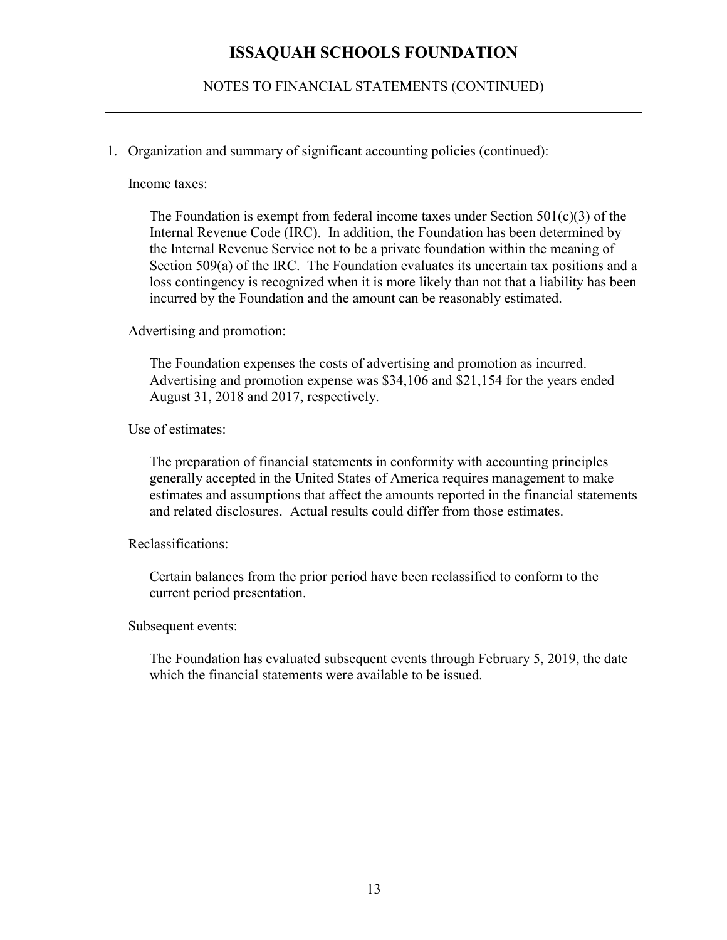NOTES TO FINANCIAL STATEMENTS (CONTINUED)

1. Organization and summary of significant accounting policies (continued):

Income taxes:

The Foundation is exempt from federal income taxes under Section  $501(c)(3)$  of the Internal Revenue Code (IRC). In addition, the Foundation has been determined by the Internal Revenue Service not to be a private foundation within the meaning of Section 509(a) of the IRC. The Foundation evaluates its uncertain tax positions and a loss contingency is recognized when it is more likely than not that a liability has been incurred by the Foundation and the amount can be reasonably estimated.

Advertising and promotion:

The Foundation expenses the costs of advertising and promotion as incurred. Advertising and promotion expense was \$34,106 and \$21,154 for the years ended August 31, 2018 and 2017, respectively.

Use of estimates:

The preparation of financial statements in conformity with accounting principles generally accepted in the United States of America requires management to make estimates and assumptions that affect the amounts reported in the financial statements and related disclosures. Actual results could differ from those estimates.

Reclassifications:

Certain balances from the prior period have been reclassified to conform to the current period presentation.

Subsequent events:

The Foundation has evaluated subsequent events through February 5, 2019, the date which the financial statements were available to be issued.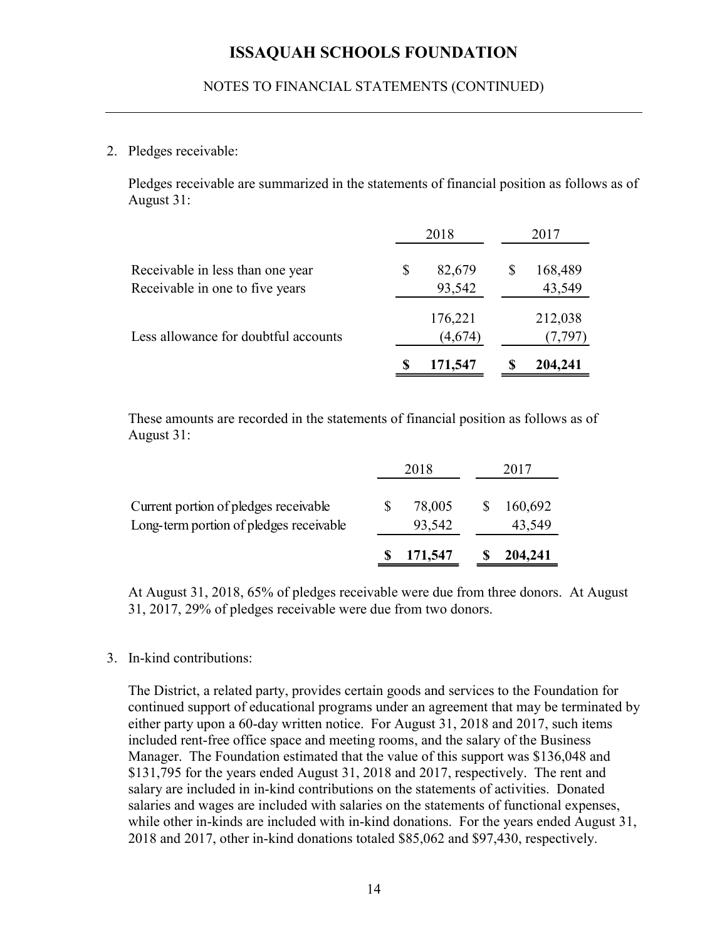### NOTES TO FINANCIAL STATEMENTS (CONTINUED)

#### 2. Pledges receivable:

| NOTES TO FINANCIAL STATEMENTS (CONTINUED)                                                                |                        |                         |
|----------------------------------------------------------------------------------------------------------|------------------------|-------------------------|
|                                                                                                          |                        |                         |
| Pledges receivable:                                                                                      |                        |                         |
| Pledges receivable are summarized in the statements of financial position as follows as of<br>August 31: |                        |                         |
|                                                                                                          | 2018                   | 2017                    |
| Receivable in less than one year<br>Receivable in one to five years                                      | \$<br>82,679<br>93,542 | 168,489<br>\$<br>43,549 |
| Less allowance for doubtful accounts                                                                     | 176,221<br>(4,674)     | 212,038<br>(7,797)      |
|                                                                                                          | 171,547                | 204,241<br>S            |
| These amounts are recorded in the statements of financial position as follows as of<br>August 31:        |                        |                         |
|                                                                                                          | 2018                   | 2017                    |
| Current portion of pledges receivable<br>Long-term portion of pledges receivable                         | \$<br>78,005<br>93,542 | \$<br>160,692<br>43,549 |
|                                                                                                          | 171,547                | \$<br>204,241           |

|                                         |   | 2018    | 2017    |
|-----------------------------------------|---|---------|---------|
| Current portion of pledges receivable   | S | 78,005  | 160,692 |
| Long-term portion of pledges receivable |   | 93,542  | 43,549  |
|                                         |   | 171,547 | 204,241 |

At August 31, 2018, 65% of pledges receivable were due from three donors. At August 31, 2017, 29% of pledges receivable were due from two donors.

#### 3. In-kind contributions:

The District, a related party, provides certain goods and services to the Foundation for continued support of educational programs under an agreement that may be terminated by either party upon a 60-day written notice. For August 31, 2018 and 2017, such items included rent-free office space and meeting rooms, and the salary of the Business Manager. The Foundation estimated that the value of this support was \$136,048 and \$131,795 for the years ended August 31, 2018 and 2017, respectively. The rent and salary are included in in-kind contributions on the statements of activities. Donated salaries and wages are included with salaries on the statements of functional expenses, while other in-kinds are included with in-kind donations. For the years ended August 31, 2018 and 2017, other in-kind donations totaled \$85,062 and \$97,430, respectively.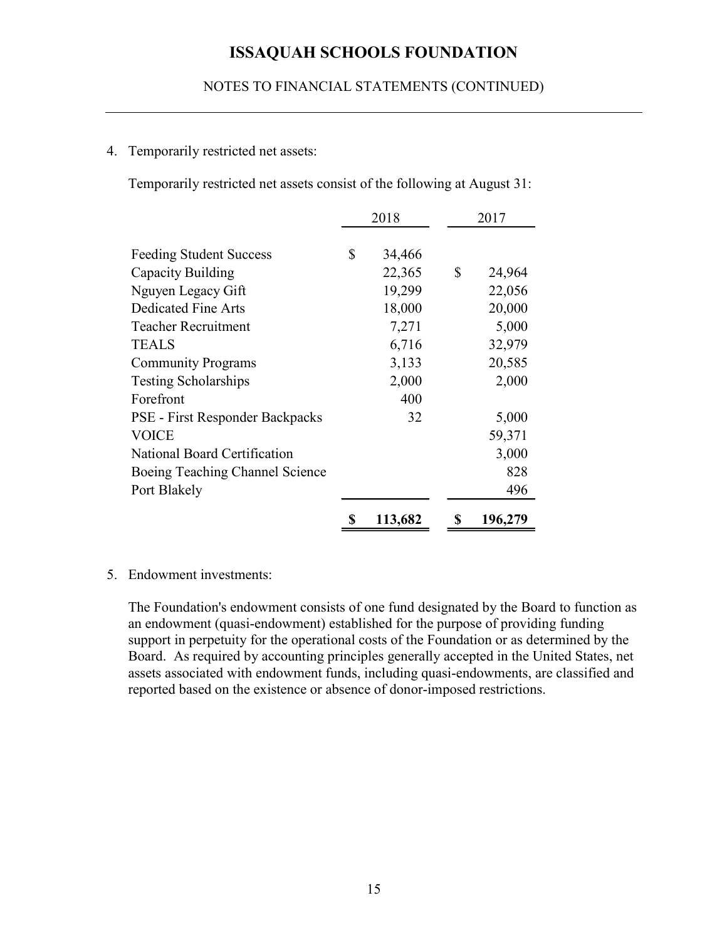### NOTES TO FINANCIAL STATEMENTS (CONTINUED)

### 4. Temporarily restricted net assets:

|                                                                          |              | <b>ISSAQUAH SCHOOLS FOUNDATION</b> |
|--------------------------------------------------------------------------|--------------|------------------------------------|
| NOTES TO FINANCIAL STATEMENTS (CONTINUED)                                |              |                                    |
| Temporarily restricted net assets:                                       |              |                                    |
| Temporarily restricted net assets consist of the following at August 31: |              |                                    |
|                                                                          | 2018         | 2017                               |
| <b>Feeding Student Success</b>                                           | \$<br>34,466 |                                    |
| Capacity Building                                                        | 22,365       | \$<br>24,964                       |
| Nguyen Legacy Gift                                                       | 19,299       | 22,056                             |
| Dedicated Fine Arts                                                      | 18,000       | 20,000                             |
| <b>Teacher Recruitment</b>                                               | 7,271        | 5,000                              |
| <b>TEALS</b>                                                             | 6,716        | 32,979                             |
| <b>Community Programs</b>                                                | 3,133        | 20,585                             |
| <b>Testing Scholarships</b>                                              | 2,000        | 2,000                              |
| Forefront                                                                | 400          |                                    |
| PSE - First Responder Backpacks                                          | 32           | 5,000                              |
|                                                                          |              | 59,371                             |
| <b>VOICE</b>                                                             |              | 3,000                              |
|                                                                          |              |                                    |
| National Board Certification                                             |              |                                    |
| Boeing Teaching Channel Science<br>Port Blakely                          |              | 828<br>496                         |

#### 5. Endowment investments:

The Foundation's endowment consists of one fund designated by the Board to function as an endowment (quasi-endowment) established for the purpose of providing funding support in perpetuity for the operational costs of the Foundation or as determined by the Board. As required by accounting principles generally accepted in the United States, net assets associated with endowment funds, including quasi-endowments, are classified and reported based on the existence or absence of donor-imposed restrictions.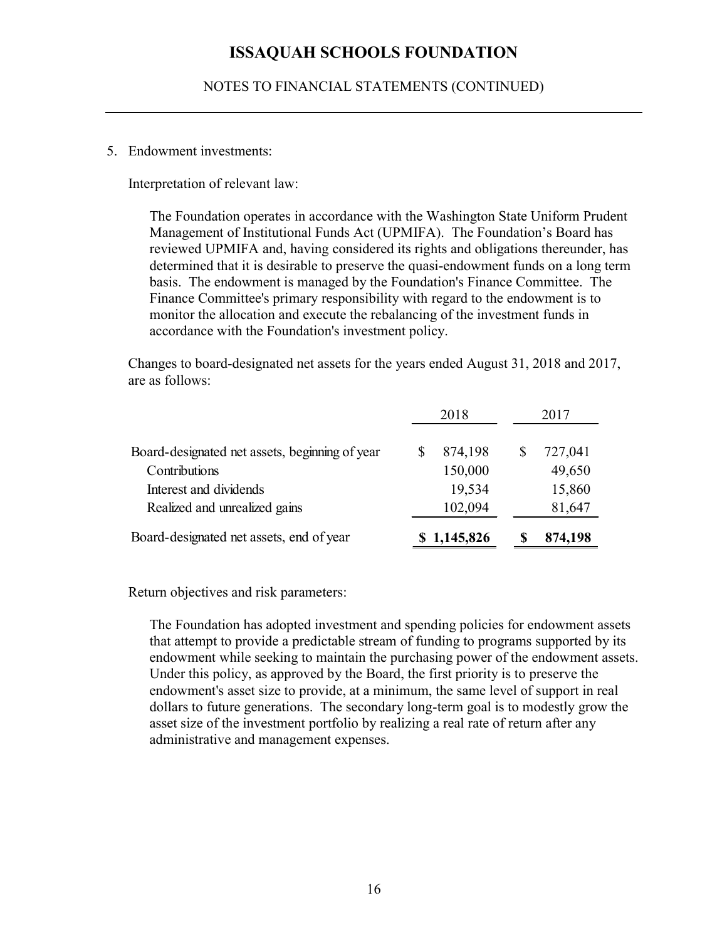NOTES TO FINANCIAL STATEMENTS (CONTINUED)

#### 5. Endowment investments:

The Foundation operates in accordance with the Washington State Uniform Prudent Management of Institutional Funds Act (UPMIFA). The Foundation's Board has reviewed UPMIFA and, having considered its rights and obligations thereunder, has determined that it is desirable to preserve the quasi-endowment funds on a long term basis. The endowment is managed by the Foundation's Finance Committee. The Finance Committee's primary responsibility with regard to the endowment is to monitor the allocation and execute the rebalancing of the investment funds in accordance with the Foundation's investment policy. ashington State Uniform Prudent<br>
2011 The Foundation's Board has<br>
2012 and obligations thereunder, has<br>
endowment funds on a long term<br>
on's Finance Committee. The<br>
2017<br>
2018<br>
2017<br>
2018<br>
2017<br>
2018<br>
2017<br>
2017<br>
2018<br>
201 Endowment investments:<br>
interpretation of relevant law:<br>
The Foundation operates in accordance with the Washington State Uniform Prudent<br>
Management of Institutional Funds Act (UPMIFA). The Foundation's Board has<br>
revivee

| The Foundation operates in accordance with the Washington State Uniform Prudent<br>Management of Institutional Funds Act (UPMIFA). The Foundation's Board has<br>reviewed UPMIFA and, having considered its rights and obligations thereunder, has<br>determined that it is desirable to preserve the quasi-endowment funds on a long term<br>basis. The endowment is managed by the Foundation's Finance Committee. The<br>Finance Committee's primary responsibility with regard to the endowment is to<br>monitor the allocation and execute the rebalancing of the investment funds in<br>accordance with the Foundation's investment policy. |               |               |
|---------------------------------------------------------------------------------------------------------------------------------------------------------------------------------------------------------------------------------------------------------------------------------------------------------------------------------------------------------------------------------------------------------------------------------------------------------------------------------------------------------------------------------------------------------------------------------------------------------------------------------------------------|---------------|---------------|
| Changes to board-designated net assets for the years ended August 31, 2018 and 2017,                                                                                                                                                                                                                                                                                                                                                                                                                                                                                                                                                              |               |               |
| are as follows:                                                                                                                                                                                                                                                                                                                                                                                                                                                                                                                                                                                                                                   | 2018          | 2017          |
| Board-designated net assets, beginning of year                                                                                                                                                                                                                                                                                                                                                                                                                                                                                                                                                                                                    | \$<br>874,198 | 727,041<br>\$ |
| Contributions                                                                                                                                                                                                                                                                                                                                                                                                                                                                                                                                                                                                                                     | 150,000       | 49,650        |
| Interest and dividends                                                                                                                                                                                                                                                                                                                                                                                                                                                                                                                                                                                                                            | 19,534        | 15,860        |
| Realized and unrealized gains                                                                                                                                                                                                                                                                                                                                                                                                                                                                                                                                                                                                                     | 102,094       | 81,647        |

Return objectives and risk parameters:

The Foundation has adopted investment and spending policies for endowment assets that attempt to provide a predictable stream of funding to programs supported by its endowment while seeking to maintain the purchasing power of the endowment assets. Under this policy, as approved by the Board, the first priority is to preserve the endowment's asset size to provide, at a minimum, the same level of support in real dollars to future generations. The secondary long-term goal is to modestly grow the asset size of the investment portfolio by realizing a real rate of return after any administrative and management expenses.